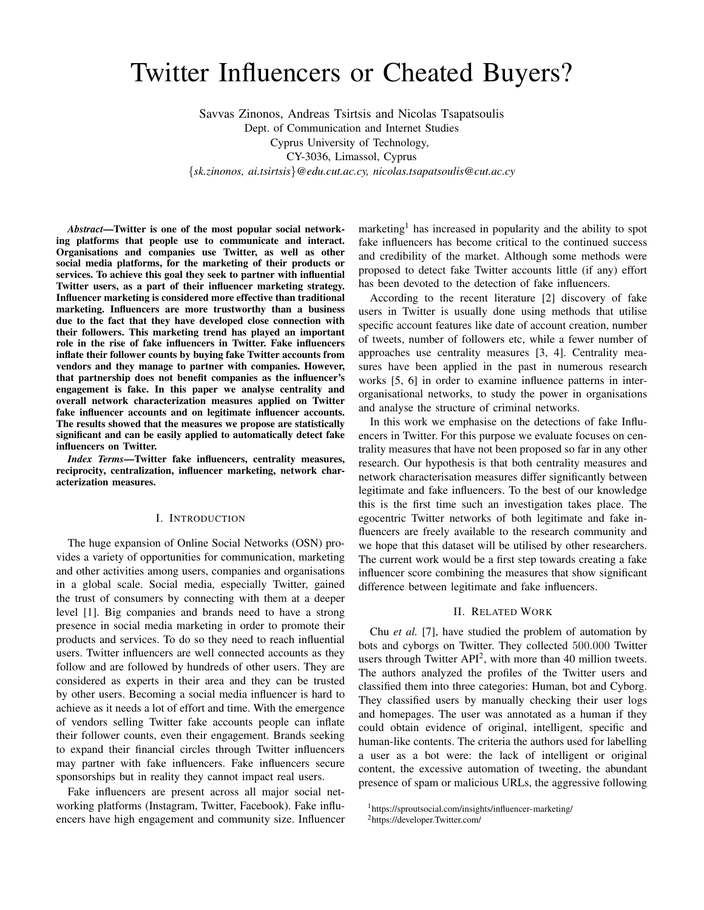# Twitter Influencers or Cheated Buyers?

Savvas Zinonos, Andreas Tsirtsis and Nicolas Tsapatsoulis Dept. of Communication and Internet Studies Cyprus University of Technology, CY-3036, Limassol, Cyprus {*sk.zinonos, ai.tsirtsis*}*@edu.cut.ac.cy, nicolas.tsapatsoulis@cut.ac.cy*

*Abstract*—Twitter is one of the most popular social networking platforms that people use to communicate and interact. Organisations and companies use Twitter, as well as other social media platforms, for the marketing of their products or services. To achieve this goal they seek to partner with influential Twitter users, as a part of their influencer marketing strategy. Influencer marketing is considered more effective than traditional marketing. Influencers are more trustworthy than a business due to the fact that they have developed close connection with their followers. This marketing trend has played an important role in the rise of fake influencers in Twitter. Fake influencers inflate their follower counts by buying fake Twitter accounts from vendors and they manage to partner with companies. However, that partnership does not benefit companies as the influencer's engagement is fake. In this paper we analyse centrality and overall network characterization measures applied on Twitter fake influencer accounts and on legitimate influencer accounts. The results showed that the measures we propose are statistically significant and can be easily applied to automatically detect fake influencers on Twitter.

*Index Terms*—Twitter fake influencers, centrality measures, reciprocity, centralization, influencer marketing, network characterization measures.

### I. INTRODUCTION

The huge expansion of Online Social Networks (OSN) provides a variety of opportunities for communication, marketing and other activities among users, companies and organisations in a global scale. Social media, especially Twitter, gained the trust of consumers by connecting with them at a deeper level [1]. Big companies and brands need to have a strong presence in social media marketing in order to promote their products and services. To do so they need to reach influential users. Twitter influencers are well connected accounts as they follow and are followed by hundreds of other users. They are considered as experts in their area and they can be trusted by other users. Becoming a social media influencer is hard to achieve as it needs a lot of effort and time. With the emergence of vendors selling Twitter fake accounts people can inflate their follower counts, even their engagement. Brands seeking to expand their financial circles through Twitter influencers may partner with fake influencers. Fake influencers secure sponsorships but in reality they cannot impact real users.

Fake influencers are present across all major social networking platforms (Instagram, Twitter, Facebook). Fake influencers have high engagement and community size. Influencer marketing<sup>1</sup> has increased in popularity and the ability to spot fake influencers has become critical to the continued success and credibility of the market. Although some methods were proposed to detect fake Twitter accounts little (if any) effort has been devoted to the detection of fake influencers.

According to the recent literature [2] discovery of fake users in Twitter is usually done using methods that utilise specific account features like date of account creation, number of tweets, number of followers etc, while a fewer number of approaches use centrality measures [3, 4]. Centrality measures have been applied in the past in numerous research works [5, 6] in order to examine influence patterns in interorganisational networks, to study the power in organisations and analyse the structure of criminal networks.

In this work we emphasise on the detections of fake Influencers in Twitter. For this purpose we evaluate focuses on centrality measures that have not been proposed so far in any other research. Our hypothesis is that both centrality measures and network characterisation measures differ significantly between legitimate and fake influencers. To the best of our knowledge this is the first time such an investigation takes place. The egocentric Twitter networks of both legitimate and fake influencers are freely available to the research community and we hope that this dataset will be utilised by other researchers. The current work would be a first step towards creating a fake influencer score combining the measures that show significant difference between legitimate and fake influencers.

## II. RELATED WORK

Chu *et al.* [7], have studied the problem of automation by bots and cyborgs on Twitter. They collected 500.000 Twitter users through Twitter  $API<sup>2</sup>$ , with more than 40 million tweets. The authors analyzed the profiles of the Twitter users and classified them into three categories: Human, bot and Cyborg. They classified users by manually checking their user logs and homepages. The user was annotated as a human if they could obtain evidence of original, intelligent, specific and human-like contents. The criteria the authors used for labelling a user as a bot were: the lack of intelligent or original content, the excessive automation of tweeting, the abundant presence of spam or malicious URLs, the aggressive following

<sup>1</sup>https://sproutsocial.com/insights/influencer-marketing/

<sup>2</sup>https://developer.Twitter.com/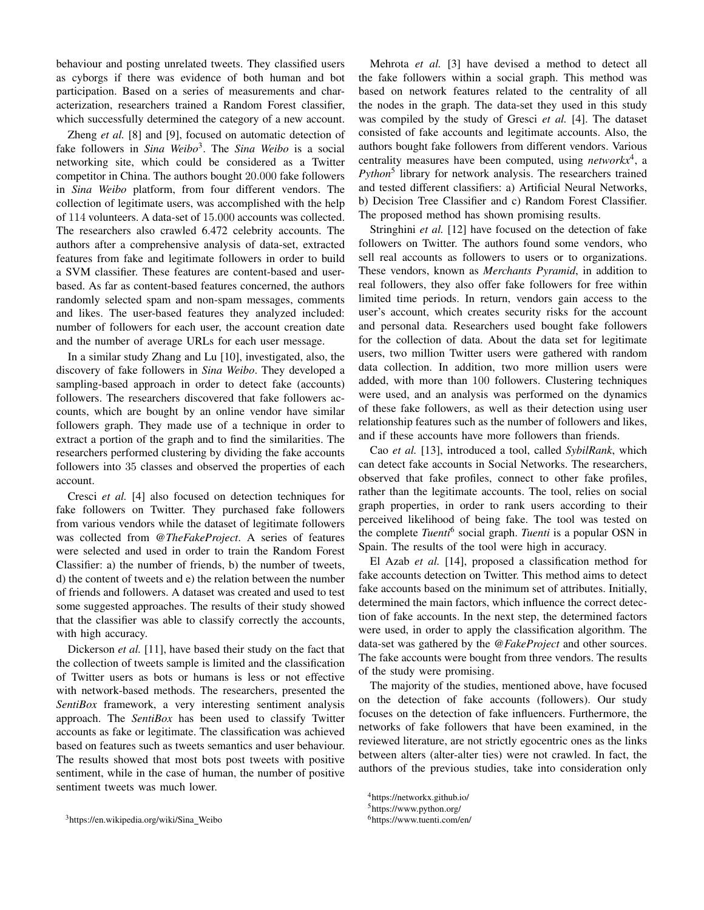behaviour and posting unrelated tweets. They classified users as cyborgs if there was evidence of both human and bot participation. Based on a series of measurements and characterization, researchers trained a Random Forest classifier, which successfully determined the category of a new account.

Zheng *et al.* [8] and [9], focused on automatic detection of fake followers in *Sina Weibo*<sup>3</sup> . The *Sina Weibo* is a social networking site, which could be considered as a Twitter competitor in China. The authors bought 20.000 fake followers in *Sina Weibo* platform, from four different vendors. The collection of legitimate users, was accomplished with the help of 114 volunteers. A data-set of 15.000 accounts was collected. The researchers also crawled 6.472 celebrity accounts. The authors after a comprehensive analysis of data-set, extracted features from fake and legitimate followers in order to build a SVM classifier. These features are content-based and userbased. As far as content-based features concerned, the authors randomly selected spam and non-spam messages, comments and likes. The user-based features they analyzed included: number of followers for each user, the account creation date and the number of average URLs for each user message.

In a similar study Zhang and Lu [10], investigated, also, the discovery of fake followers in *Sina Weibo*. They developed a sampling-based approach in order to detect fake (accounts) followers. The researchers discovered that fake followers accounts, which are bought by an online vendor have similar followers graph. They made use of a technique in order to extract a portion of the graph and to find the similarities. The researchers performed clustering by dividing the fake accounts followers into 35 classes and observed the properties of each account.

Cresci *et al.* [4] also focused on detection techniques for fake followers on Twitter. They purchased fake followers from various vendors while the dataset of legitimate followers was collected from *@TheFakeProject*. A series of features were selected and used in order to train the Random Forest Classifier: a) the number of friends, b) the number of tweets, d) the content of tweets and e) the relation between the number of friends and followers. A dataset was created and used to test some suggested approaches. The results of their study showed that the classifier was able to classify correctly the accounts, with high accuracy.

Dickerson *et al.* [11], have based their study on the fact that the collection of tweets sample is limited and the classification of Twitter users as bots or humans is less or not effective with network-based methods. The researchers, presented the *SentiBox* framework, a very interesting sentiment analysis approach. The *SentiBox* has been used to classify Twitter accounts as fake or legitimate. The classification was achieved based on features such as tweets semantics and user behaviour. The results showed that most bots post tweets with positive sentiment, while in the case of human, the number of positive sentiment tweets was much lower.

Mehrota *et al.* [3] have devised a method to detect all the fake followers within a social graph. This method was based on network features related to the centrality of all the nodes in the graph. The data-set they used in this study was compiled by the study of Gresci *et al.* [4]. The dataset consisted of fake accounts and legitimate accounts. Also, the authors bought fake followers from different vendors. Various centrality measures have been computed, using *networkx*<sup>4</sup> , a *Python*<sup>5</sup> library for network analysis. The researchers trained and tested different classifiers: a) Artificial Neural Networks, b) Decision Tree Classifier and c) Random Forest Classifier. The proposed method has shown promising results.

Stringhini *et al.* [12] have focused on the detection of fake followers on Twitter. The authors found some vendors, who sell real accounts as followers to users or to organizations. These vendors, known as *Merchants Pyramid*, in addition to real followers, they also offer fake followers for free within limited time periods. In return, vendors gain access to the user's account, which creates security risks for the account and personal data. Researchers used bought fake followers for the collection of data. About the data set for legitimate users, two million Twitter users were gathered with random data collection. In addition, two more million users were added, with more than 100 followers. Clustering techniques were used, and an analysis was performed on the dynamics of these fake followers, as well as their detection using user relationship features such as the number of followers and likes, and if these accounts have more followers than friends.

Cao *et al.* [13], introduced a tool, called *SybilRank*, which can detect fake accounts in Social Networks. The researchers, observed that fake profiles, connect to other fake profiles, rather than the legitimate accounts. The tool, relies on social graph properties, in order to rank users according to their perceived likelihood of being fake. The tool was tested on the complete *Tuenti*<sup>6</sup> social graph. *Tuenti* is a popular OSN in Spain. The results of the tool were high in accuracy.

El Azab *et al.* [14], proposed a classification method for fake accounts detection on Twitter. This method aims to detect fake accounts based on the minimum set of attributes. Initially, determined the main factors, which influence the correct detection of fake accounts. In the next step, the determined factors were used, in order to apply the classification algorithm. The data-set was gathered by the *@FakeProject* and other sources. The fake accounts were bought from three vendors. The results of the study were promising.

The majority of the studies, mentioned above, have focused on the detection of fake accounts (followers). Our study focuses on the detection of fake influencers. Furthermore, the networks of fake followers that have been examined, in the reviewed literature, are not strictly egocentric ones as the links between alters (alter-alter ties) were not crawled. In fact, the authors of the previous studies, take into consideration only

<sup>4</sup>https://networkx.github.io/

<sup>5</sup>https://www.python.org/

<sup>6</sup>https://www.tuenti.com/en/

<sup>3</sup>https://en.wikipedia.org/wiki/Sina Weibo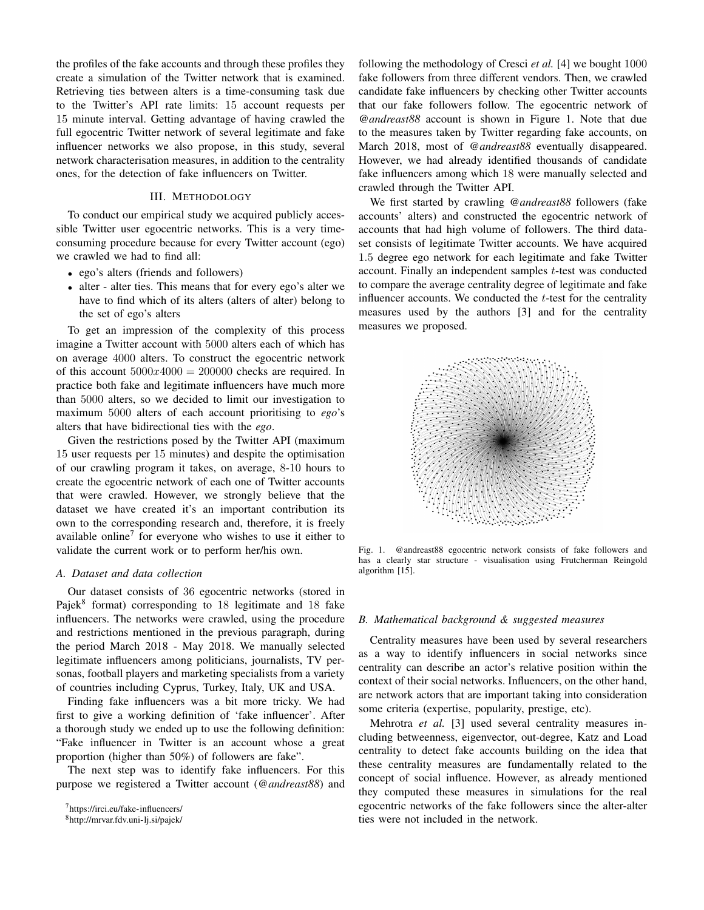the profiles of the fake accounts and through these profiles they create a simulation of the Twitter network that is examined. Retrieving ties between alters is a time-consuming task due to the Twitter's API rate limits: 15 account requests per 15 minute interval. Getting advantage of having crawled the full egocentric Twitter network of several legitimate and fake influencer networks we also propose, in this study, several network characterisation measures, in addition to the centrality ones, for the detection of fake influencers on Twitter.

# III. METHODOLOGY

To conduct our empirical study we acquired publicly accessible Twitter user egocentric networks. This is a very timeconsuming procedure because for every Twitter account (ego) we crawled we had to find all:

- ego's alters (friends and followers)
- alter alter ties. This means that for every ego's alter we have to find which of its alters (alters of alter) belong to the set of ego's alters

To get an impression of the complexity of this process imagine a Twitter account with 5000 alters each of which has on average 4000 alters. To construct the egocentric network of this account  $5000x4000 = 200000$  checks are required. In practice both fake and legitimate influencers have much more than 5000 alters, so we decided to limit our investigation to maximum 5000 alters of each account prioritising to *ego*'s alters that have bidirectional ties with the *ego*.

Given the restrictions posed by the Twitter API (maximum 15 user requests per 15 minutes) and despite the optimisation of our crawling program it takes, on average, 8-10 hours to create the egocentric network of each one of Twitter accounts that were crawled. However, we strongly believe that the dataset we have created it's an important contribution its own to the corresponding research and, therefore, it is freely available online<sup>7</sup> for everyone who wishes to use it either to validate the current work or to perform her/his own.

## *A. Dataset and data collection*

Our dataset consists of 36 egocentric networks (stored in Pajek<sup>8</sup> format) corresponding to 18 legitimate and 18 fake influencers. The networks were crawled, using the procedure and restrictions mentioned in the previous paragraph, during the period March 2018 - May 2018. We manually selected legitimate influencers among politicians, journalists, TV personas, football players and marketing specialists from a variety of countries including Cyprus, Turkey, Italy, UK and USA.

Finding fake influencers was a bit more tricky. We had first to give a working definition of 'fake influencer'. After a thorough study we ended up to use the following definition: "Fake influencer in Twitter is an account whose a great proportion (higher than 50%) of followers are fake".

The next step was to identify fake influencers. For this purpose we registered a Twitter account (*@andreast88*) and following the methodology of Cresci *et al.* [4] we bought 1000 fake followers from three different vendors. Then, we crawled candidate fake influencers by checking other Twitter accounts that our fake followers follow. The egocentric network of *@andreast88* account is shown in Figure 1. Note that due to the measures taken by Twitter regarding fake accounts, on March 2018, most of *@andreast88* eventually disappeared. However, we had already identified thousands of candidate fake influencers among which 18 were manually selected and crawled through the Twitter API.

We first started by crawling *@andreast88* followers (fake accounts' alters) and constructed the egocentric network of accounts that had high volume of followers. The third dataset consists of legitimate Twitter accounts. We have acquired 1.5 degree ego network for each legitimate and fake Twitter account. Finally an independent samples t-test was conducted to compare the average centrality degree of legitimate and fake influencer accounts. We conducted the  $t$ -test for the centrality measures used by the authors [3] and for the centrality measures we proposed.



Fig. 1. @andreast88 egocentric network consists of fake followers and has a clearly star structure - visualisation using Frutcherman Reingold algorithm [15].

# *B. Mathematical background & suggested measures*

Centrality measures have been used by several researchers as a way to identify influencers in social networks since centrality can describe an actor's relative position within the context of their social networks. Influencers, on the other hand, are network actors that are important taking into consideration some criteria (expertise, popularity, prestige, etc).

Mehrotra *et al.* [3] used several centrality measures including betweenness, eigenvector, out-degree, Katz and Load centrality to detect fake accounts building on the idea that these centrality measures are fundamentally related to the concept of social influence. However, as already mentioned they computed these measures in simulations for the real egocentric networks of the fake followers since the alter-alter ties were not included in the network.

<sup>7</sup>https://irci.eu/fake-influencers/

<sup>8</sup>http://mrvar.fdv.uni-lj.si/pajek/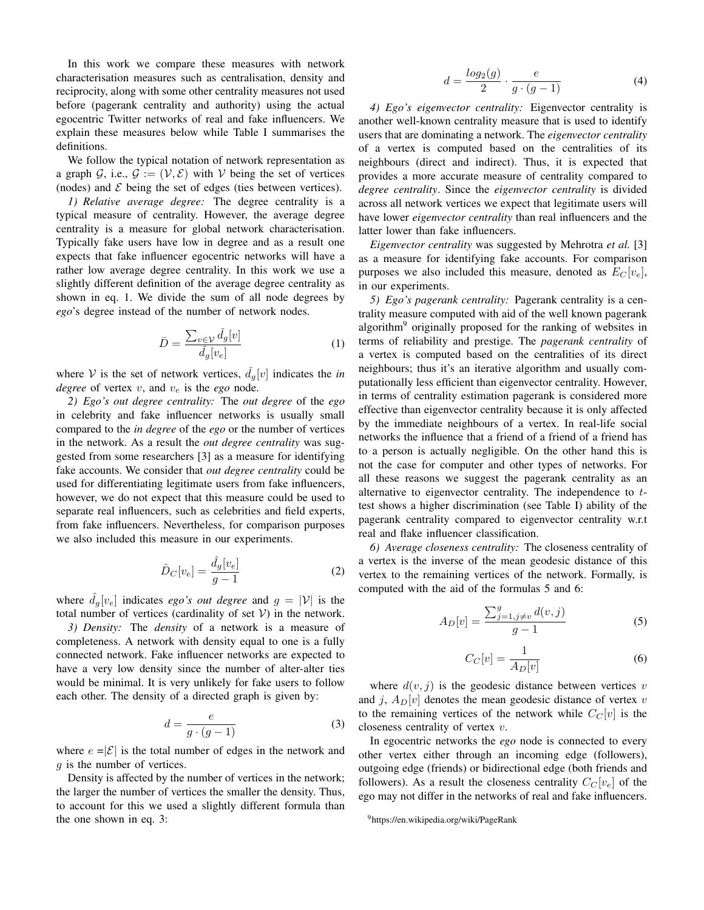In this work we compare these measures with network characterisation measures such as centralisation, density and reciprocity, along with some other centrality measures not used before (pagerank centrality and authority) using the actual egocentric Twitter networks of real and fake influencers. We explain these measures below while Table I summarises the definitions.

We follow the typical notation of network representation as a graph G, i.e.,  $G := (\mathcal{V}, \mathcal{E})$  with V being the set of vertices (nodes) and  $\mathcal E$  being the set of edges (ties between vertices).

*1) Relative average degree:* The degree centrality is a typical measure of centrality. However, the average degree centrality is a measure for global network characterisation. Typically fake users have low in degree and as a result one expects that fake influencer egocentric networks will have a rather low average degree centrality. In this work we use a slightly different definition of the average degree centrality as shown in eq. 1. We divide the sum of all node degrees by *ego*'s degree instead of the number of network nodes.

$$
\bar{D} = \frac{\sum_{v \in \mathcal{V}} \check{d}_g[v]}{\check{d}_g[v_e]}
$$
(1)

where V is the set of network vertices,  $\tilde{d}_q[v]$  indicates the *in degree* of vertex  $v$ , and  $v_e$  is the *ego* node.

*2) Ego's out degree centrality:* The *out degree* of the *ego* in celebrity and fake influencer networks is usually small compared to the *in degree* of the *ego* or the number of vertices in the network. As a result the *out degree centrality* was suggested from some researchers [3] as a measure for identifying fake accounts. We consider that *out degree centrality* could be used for differentiating legitimate users from fake influencers, however, we do not expect that this measure could be used to separate real influencers, such as celebrities and field experts, from fake influencers. Nevertheless, for comparison purposes we also included this measure in our experiments.

$$
\hat{D}_C[v_e] = \frac{\hat{d}_g[v_e]}{g-1} \tag{2}
$$

where  $d_g[v_e]$  indicates *ego's out degree* and  $g = |V|$  is the total number of vertices (cardinality of set  $V$ ) in the network.

*3) Density:* The *density* of a network is a measure of completeness. A network with density equal to one is a fully connected network. Fake influencer networks are expected to have a very low density since the number of alter-alter ties would be minimal. It is very unlikely for fake users to follow each other. The density of a directed graph is given by:

$$
d = \frac{e}{g \cdot (g-1)}\tag{3}
$$

where  $e = |\mathcal{E}|$  is the total number of edges in the network and q is the number of vertices.

Density is affected by the number of vertices in the network; the larger the number of vertices the smaller the density. Thus, to account for this we used a slightly different formula than the one shown in eq. 3:

$$
d = \frac{\log_2(g)}{2} \cdot \frac{e}{g \cdot (g-1)}\tag{4}
$$

*4) Ego's eigenvector centrality:* Eigenvector centrality is another well-known centrality measure that is used to identify users that are dominating a network. The *eigenvector centrality* of a vertex is computed based on the centralities of its neighbours (direct and indirect). Thus, it is expected that provides a more accurate measure of centrality compared to *degree centrality*. Since the *eigenvector centrality* is divided across all network vertices we expect that legitimate users will have lower *eigenvector centrality* than real influencers and the latter lower than fake influencers.

*Eigenvector centrality* was suggested by Mehrotra *et al.* [3] as a measure for identifying fake accounts. For comparison purposes we also included this measure, denoted as  $E_C[v_e]$ , in our experiments.

*5) Ego's pagerank centrality:* Pagerank centrality is a centrality measure computed with aid of the well known pagerank algorithm<sup>9</sup> originally proposed for the ranking of websites in terms of reliability and prestige. The *pagerank centrality* of a vertex is computed based on the centralities of its direct neighbours; thus it's an iterative algorithm and usually computationally less efficient than eigenvector centrality. However, in terms of centrality estimation pagerank is considered more effective than eigenvector centrality because it is only affected by the immediate neighbours of a vertex. In real-life social networks the influence that a friend of a friend of a friend has to a person is actually negligible. On the other hand this is not the case for computer and other types of networks. For all these reasons we suggest the pagerank centrality as an alternative to eigenvector centrality. The independence to ttest shows a higher discrimination (see Table I) ability of the pagerank centrality compared to eigenvector centrality w.r.t real and flake influencer classification.

*6) Average closeness centrality:* The closeness centrality of a vertex is the inverse of the mean geodesic distance of this vertex to the remaining vertices of the network. Formally, is computed with the aid of the formulas 5 and 6:

$$
A_D[v] = \frac{\sum_{j=1, j \neq v}^{g} d(v, j)}{g - 1}
$$
 (5)

$$
C_C[v] = \frac{1}{A_D[v]}
$$
 (6)

where  $d(v, j)$  is the geodesic distance between vertices v and j,  $A_D[v]$  denotes the mean geodesic distance of vertex v to the remaining vertices of the network while  $C_C[v]$  is the closeness centrality of vertex v.

In egocentric networks the *ego* node is connected to every other vertex either through an incoming edge (followers), outgoing edge (friends) or bidirectional edge (both friends and followers). As a result the closeness centrality  $C_C[v_e]$  of the ego may not differ in the networks of real and fake influencers.

<sup>9</sup>https://en.wikipedia.org/wiki/PageRank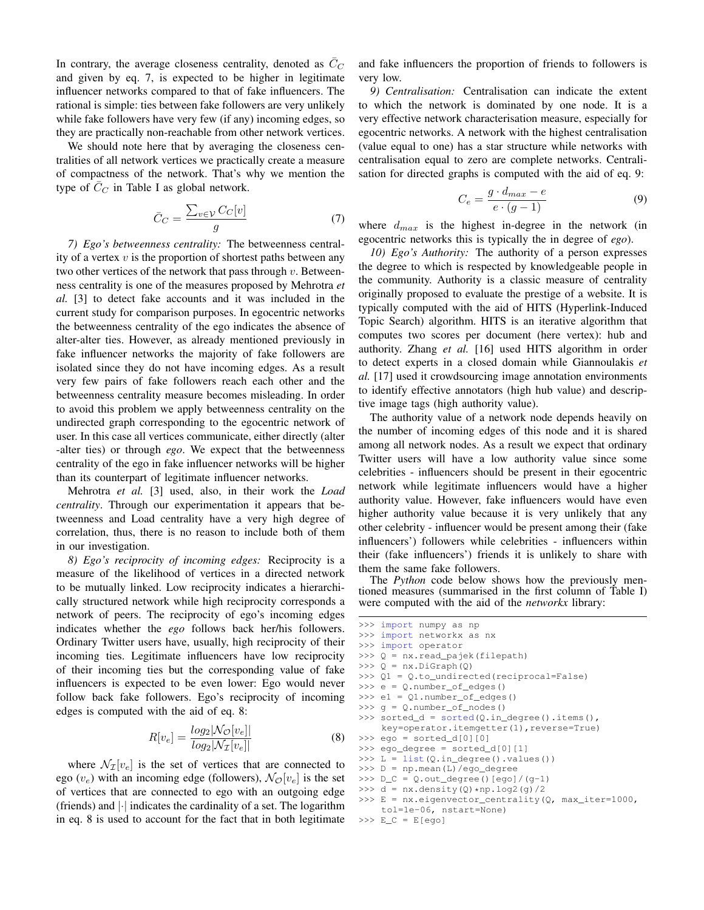In contrary, the average closeness centrality, denoted as  $C_C$ and given by eq. 7, is expected to be higher in legitimate influencer networks compared to that of fake influencers. The rational is simple: ties between fake followers are very unlikely while fake followers have very few (if any) incoming edges, so they are practically non-reachable from other network vertices.

We should note here that by averaging the closeness centralities of all network vertices we practically create a measure of compactness of the network. That's why we mention the type of  $\overline{C}_C$  in Table I as global network.

$$
\bar{C}_C = \frac{\sum_{v \in \mathcal{V}} C_C[v]}{g} \tag{7}
$$

*7) Ego's betweenness centrality:* The betweenness centrality of a vertex  $v$  is the proportion of shortest paths between any two other vertices of the network that pass through  $v$ . Betweenness centrality is one of the measures proposed by Mehrotra *et al.* [3] to detect fake accounts and it was included in the current study for comparison purposes. In egocentric networks the betweenness centrality of the ego indicates the absence of alter-alter ties. However, as already mentioned previously in fake influencer networks the majority of fake followers are isolated since they do not have incoming edges. As a result very few pairs of fake followers reach each other and the betweenness centrality measure becomes misleading. In order to avoid this problem we apply betweenness centrality on the undirected graph corresponding to the egocentric network of user. In this case all vertices communicate, either directly (alter -alter ties) or through *ego*. We expect that the betweenness centrality of the ego in fake influencer networks will be higher than its counterpart of legitimate influencer networks.

Mehrotra *et al.* [3] used, also, in their work the *Load centrality*. Through our experimentation it appears that betweenness and Load centrality have a very high degree of correlation, thus, there is no reason to include both of them in our investigation.

*8) Ego's reciprocity of incoming edges:* Reciprocity is a measure of the likelihood of vertices in a directed network to be mutually linked. Low reciprocity indicates a hierarchically structured network while high reciprocity corresponds a network of peers. The reciprocity of ego's incoming edges indicates whether the *ego* follows back her/his followers. Ordinary Twitter users have, usually, high reciprocity of their incoming ties. Legitimate influencers have low reciprocity of their incoming ties but the corresponding value of fake influencers is expected to be even lower: Ego would never follow back fake followers. Ego's reciprocity of incoming edges is computed with the aid of eq. 8:

$$
R[v_e] = \frac{\log_2 |\mathcal{N}_{\mathcal{O}}[v_e]|}{\log_2 |\mathcal{N}_{\mathcal{I}}[v_e]|} \tag{8}
$$

where  $\mathcal{N}_{\mathcal{I}}[v_e]$  is the set of vertices that are connected to ego  $(v_e)$  with an incoming edge (followers),  $\mathcal{N}_{\mathcal{O}}[v_e]$  is the set of vertices that are connected to ego with an outgoing edge (friends) and  $|\cdot|$  indicates the cardinality of a set. The logarithm in eq. 8 is used to account for the fact that in both legitimate

and fake influencers the proportion of friends to followers is very low.

*9) Centralisation:* Centralisation can indicate the extent to which the network is dominated by one node. It is a very effective network characterisation measure, especially for egocentric networks. A network with the highest centralisation (value equal to one) has a star structure while networks with centralisation equal to zero are complete networks. Centralisation for directed graphs is computed with the aid of eq. 9:

$$
C_e = \frac{g \cdot d_{max} - e}{e \cdot (g - 1)}\tag{9}
$$

where  $d_{max}$  is the highest in-degree in the network (in egocentric networks this is typically the in degree of *ego*).

*10) Ego's Authority:* The authority of a person expresses the degree to which is respected by knowledgeable people in the community. Authority is a classic measure of centrality originally proposed to evaluate the prestige of a website. It is typically computed with the aid of HITS (Hyperlink-Induced Topic Search) algorithm. HITS is an iterative algorithm that computes two scores per document (here vertex): hub and authority. Zhang *et al.* [16] used HITS algorithm in order to detect experts in a closed domain while Giannoulakis *et al.* [17] used it crowdsourcing image annotation environments to identify effective annotators (high hub value) and descriptive image tags (high authority value).

The authority value of a network node depends heavily on the number of incoming edges of this node and it is shared among all network nodes. As a result we expect that ordinary Twitter users will have a low authority value since some celebrities - influencers should be present in their egocentric network while legitimate influencers would have a higher authority value. However, fake influencers would have even higher authority value because it is very unlikely that any other celebrity - influencer would be present among their (fake influencers') followers while celebrities - influencers within their (fake influencers') friends it is unlikely to share with them the same fake followers.

The *Python* code below shows how the previously mentioned measures (summarised in the first column of Table I) were computed with the aid of the *networkx* library:

```
>>> import numpy as np
>>> import networkx as nx
>>> import operator
>>> Q = nx.read_pajek(filepath)
>>> Q = nx.DiGraph(Q)
>>> Q1 = Q.to_undirected(reciprocal=False)
>>> e = Q.number_of_edges()
>>> e1 = Q1.number_of_edges()
>>> g = Q.number_of_nodes()
>>> sorted_d = sorted(Q.in_degree().items(),
    key=operator.itemgetter(1),reverse=True)
>>> ego = sorted_d[0][0]
>>> ego_degree = sorted_d[0][1]
>>> L = list(Q.in_degree().values())
>>> D = np.mean(L)/ego_degree
>> D_C = Q.out_d = q(c) [eqo] / (q-1)>>> d = nx.density(Q) * np.log2(q)/2>>> E = nx.eigenvector_centrality(Q, max_iter=1000,
    tol=1e-06, nstart=None)
>>> E_C = E[ego]
```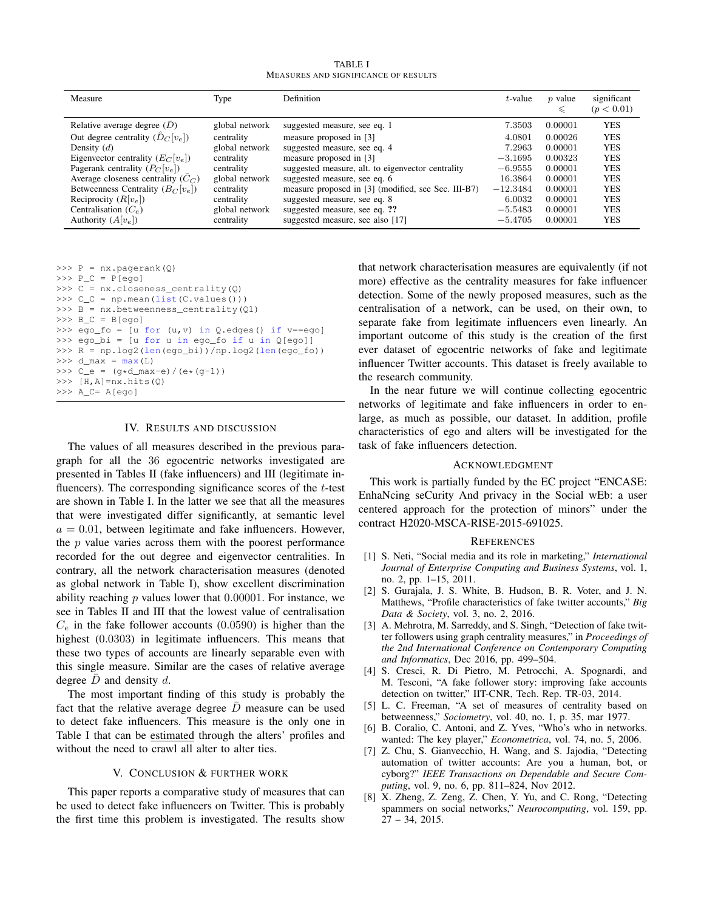TABLE I MEASURES AND SIGNIFICANCE OF RESULTS

| Measure                                    | Type           | Definition                                          | $t$ -value | p value | significant<br>(p < 0.01) |
|--------------------------------------------|----------------|-----------------------------------------------------|------------|---------|---------------------------|
| Relative average degree $(D)$              | global network | suggested measure, see eq. 1                        | 7.3503     | 0.00001 | <b>YES</b>                |
| Out degree centrality $(D_C[v_e])$         | centrality     | measure proposed in [3]                             | 4.0801     | 0.00026 | <b>YES</b>                |
| Density $(d)$                              | global network | suggested measure, see eq. 4                        | 7.2963     | 0.00001 | <b>YES</b>                |
| Eigenvector centrality $(E_C[v_e])$        | centrality     | measure proposed in [3]                             | $-3.1695$  | 0.00323 | <b>YES</b>                |
| Pagerank centrality $(P_C[v_e])$           | centrality     | suggested measure, alt. to eigenvector centrality   | $-6.9555$  | 0.00001 | <b>YES</b>                |
| Average closeness centrality $(\bar{C}_C)$ | global network | suggested measure, see eq. 6                        | 16.3864    | 0.00001 | <b>YES</b>                |
| Betweenness Centrality $(B_C[v_e])$        | centrality     | measure proposed in [3] (modified, see Sec. III-B7) | $-12.3484$ | 0.00001 | <b>YES</b>                |
| Reciprocity $(R[v_e])$                     | centrality     | suggested measure, see eq. 8                        | 6.0032     | 0.00001 | <b>YES</b>                |
| Centralisation $(C_e)$                     | global network | suggested measure, see eq. ??                       | $-5.5483$  | 0.00001 | <b>YES</b>                |
| Authority $(A[v_e])$                       | centrality     | suggested measure, see also [17]                    | $-5.4705$  | 0.00001 | YES                       |

 $>>$  P =  $nx.pagerank(Q)$  $>>$  P\_C = P[ego]  $>>$   $C = nx.closeness_centrality(Q)$ >>> C\_C = np.mean(list(C.values())) >>> B = nx.betweenness\_centrality(Q1)  $>>$  B C = B[ego] >>>  $eqo_f = [u for (u,v) in Q. edges() if v==eqo]$ >>> ego\_bi = [u for u in ego\_fo if u in Q[ego]] >>> R = np.log2(len(ego\_bi))/np.log2(len(ego\_fo))  $\Rightarrow$  d\_max = max(L) >>>  $C_e = (g * d_max - e) / (e * (g-1))$ >>> [H,A]=nx.hits(Q) >>> A\_C= A[ego]

# IV. RESULTS AND DISCUSSION

The values of all measures described in the previous paragraph for all the 36 egocentric networks investigated are presented in Tables II (fake influencers) and III (legitimate influencers). The corresponding significance scores of the  $t$ -test are shown in Table I. In the latter we see that all the measures that were investigated differ significantly, at semantic level  $a = 0.01$ , between legitimate and fake influencers. However, the  $p$  value varies across them with the poorest performance recorded for the out degree and eigenvector centralities. In contrary, all the network characterisation measures (denoted as global network in Table I), show excellent discrimination ability reaching  $p$  values lower that  $0.00001$ . For instance, we see in Tables II and III that the lowest value of centralisation  $C_e$  in the fake follower accounts (0.0590) is higher than the highest (0.0303) in legitimate influencers. This means that these two types of accounts are linearly separable even with this single measure. Similar are the cases of relative average degree  $\overline{D}$  and density d.

The most important finding of this study is probably the fact that the relative average degree  $\overline{D}$  measure can be used to detect fake influencers. This measure is the only one in Table I that can be estimated through the alters' profiles and without the need to crawl all alter to alter ties.

### V. CONCLUSION & FURTHER WORK

This paper reports a comparative study of measures that can be used to detect fake influencers on Twitter. This is probably the first time this problem is investigated. The results show that network characterisation measures are equivalently (if not more) effective as the centrality measures for fake influencer detection. Some of the newly proposed measures, such as the centralisation of a network, can be used, on their own, to separate fake from legitimate influencers even linearly. An important outcome of this study is the creation of the first ever dataset of egocentric networks of fake and legitimate influencer Twitter accounts. This dataset is freely available to the research community.

In the near future we will continue collecting egocentric networks of legitimate and fake influencers in order to enlarge, as much as possible, our dataset. In addition, profile characteristics of ego and alters will be investigated for the task of fake influencers detection.

## ACKNOWLEDGMENT

This work is partially funded by the EC project "ENCASE: EnhaNcing seCurity And privacy in the Social wEb: a user centered approach for the protection of minors" under the contract H2020-MSCA-RISE-2015-691025.

#### **REFERENCES**

- [1] S. Neti, "Social media and its role in marketing," *International Journal of Enterprise Computing and Business Systems*, vol. 1, no. 2, pp. 1–15, 2011.
- [2] S. Gurajala, J. S. White, B. Hudson, B. R. Voter, and J. N. Matthews, "Profile characteristics of fake twitter accounts," *Big Data & Society*, vol. 3, no. 2, 2016.
- [3] A. Mehrotra, M. Sarreddy, and S. Singh, "Detection of fake twitter followers using graph centrality measures," in *Proceedings of the 2nd International Conference on Contemporary Computing and Informatics*, Dec 2016, pp. 499–504.
- [4] S. Cresci, R. Di Pietro, M. Petrocchi, A. Spognardi, and M. Tesconi, "A fake follower story: improving fake accounts detection on twitter," IIT-CNR, Tech. Rep. TR-03, 2014.
- [5] L. C. Freeman, "A set of measures of centrality based on betweenness," *Sociometry*, vol. 40, no. 1, p. 35, mar 1977.
- [6] B. Coralio, C. Antoni, and Z. Yves, "Who's who in networks. wanted: The key player," *Econometrica*, vol. 74, no. 5, 2006.
- [7] Z. Chu, S. Gianvecchio, H. Wang, and S. Jajodia, "Detecting automation of twitter accounts: Are you a human, bot, or cyborg?" *IEEE Transactions on Dependable and Secure Computing*, vol. 9, no. 6, pp. 811–824, Nov 2012.
- [8] X. Zheng, Z. Zeng, Z. Chen, Y. Yu, and C. Rong, "Detecting spammers on social networks," *Neurocomputing*, vol. 159, pp. 27 – 34, 2015.